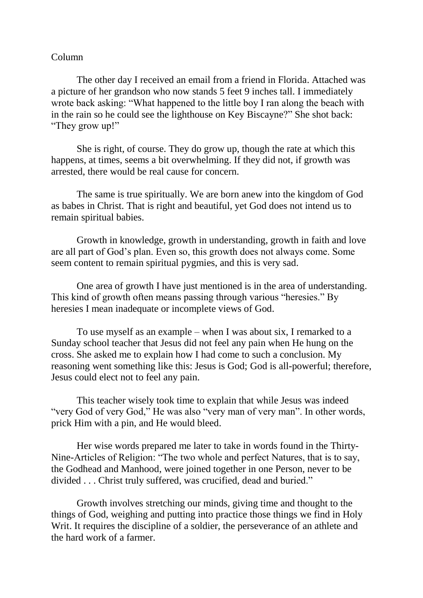## Column

The other day I received an email from a friend in Florida. Attached was a picture of her grandson who now stands 5 feet 9 inches tall. I immediately wrote back asking: "What happened to the little boy I ran along the beach with in the rain so he could see the lighthouse on Key Biscayne?" She shot back: "They grow up!"

She is right, of course. They do grow up, though the rate at which this happens, at times, seems a bit overwhelming. If they did not, if growth was arrested, there would be real cause for concern.

The same is true spiritually. We are born anew into the kingdom of God as babes in Christ. That is right and beautiful, yet God does not intend us to remain spiritual babies.

Growth in knowledge, growth in understanding, growth in faith and love are all part of God's plan. Even so, this growth does not always come. Some seem content to remain spiritual pygmies, and this is very sad.

One area of growth I have just mentioned is in the area of understanding. This kind of growth often means passing through various "heresies." By heresies I mean inadequate or incomplete views of God.

To use myself as an example – when I was about six, I remarked to a Sunday school teacher that Jesus did not feel any pain when He hung on the cross. She asked me to explain how I had come to such a conclusion. My reasoning went something like this: Jesus is God; God is all-powerful; therefore, Jesus could elect not to feel any pain.

This teacher wisely took time to explain that while Jesus was indeed "very God of very God," He was also "very man of very man". In other words, prick Him with a pin, and He would bleed.

Her wise words prepared me later to take in words found in the Thirty-Nine-Articles of Religion: "The two whole and perfect Natures, that is to say, the Godhead and Manhood, were joined together in one Person, never to be divided . . . Christ truly suffered, was crucified, dead and buried."

Growth involves stretching our minds, giving time and thought to the things of God, weighing and putting into practice those things we find in Holy Writ. It requires the discipline of a soldier, the perseverance of an athlete and the hard work of a farmer.